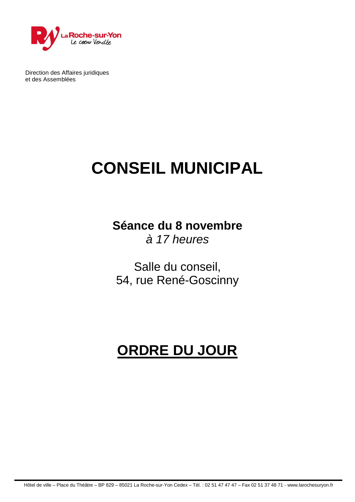

Direction des Affaires juridiques et des Assemblées

# **CONSEIL MUNICIPAL**

**Séance du 8 novembre** *à 17 heures*

Salle du conseil, 54, rue René-Goscinny

## **ORDRE DU JOUR**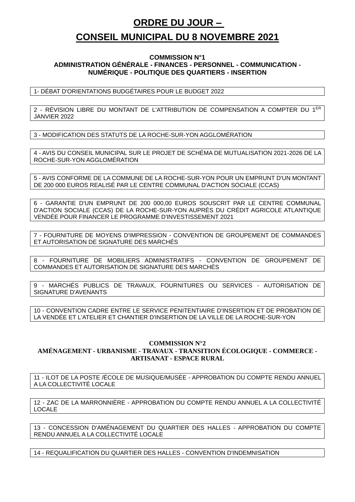### **ORDRE DU JOUR – CONSEIL MUNICIPAL DU 8 NOVEMBRE 2021**

#### **COMMISSION N°1 ADMINISTRATION GÉNÉRALE - FINANCES - PERSONNEL - COMMUNICATION - NUMÉRIQUE - POLITIQUE DES QUARTIERS - INSERTION**

1- DÉBAT D'ORIENTATIONS BUDGÉTAIRES POUR LE BUDGET 2022

2 - RÉVISION LIBRE DU MONTANT DE L'ATTRIBUTION DE COMPENSATION A COMPTER DU 1ER JANVIER 2022

3 - MODIFICATION DES STATUTS DE LA ROCHE-SUR-YON AGGLOMÉRATION

4 - AVIS DU CONSEIL MUNICIPAL SUR LE PROJET DE SCHÉMA DE MUTUALISATION 2021-2026 DE LA ROCHE-SUR-YON AGGLOMÉRATION

5 - AVIS CONFORME DE LA COMMUNE DE LA ROCHE-SUR-YON POUR UN EMPRUNT D'UN MONTANT DE 200 000 EUROS REALISÉ PAR LE CENTRE COMMUNAL D'ACTION SOCIALE (CCAS)

6 - GARANTIE D'UN EMPRUNT DE 200 000,00 EUROS SOUSCRIT PAR LE CENTRE COMMUNAL D'ACTION SOCIALE (CCAS) DE LA ROCHE-SUR-YON AUPRÈS DU CRÉDIT AGRICOLE ATLANTIQUE VENDÉE POUR FINANCER LE PROGRAMME D'INVESTISSEMENT 2021

7 - FOURNITURE DE MOYENS D'IMPRESSION - CONVENTION DE GROUPEMENT DE COMMANDES ET AUTORISATION DE SIGNATURE DES MARCHÉS

8 - FOURNITURE DE MOBILIERS ADMINISTRATIFS - CONVENTION DE GROUPEMENT DE COMMANDES ET AUTORISATION DE SIGNATURE DES MARCHÉS

9 - MARCHÉS PUBLICS DE TRAVAUX, FOURNITURES OU SERVICES - AUTORISATION DE SIGNATURE D'AVENANTS

10 - CONVENTION CADRE ENTRE LE SERVICE PENITENTIAIRE D'INSERTION ET DE PROBATION DE LA VENDÉE ET L'ATELIER ET CHANTIER D'INSERTION DE LA VILLE DE LA ROCHE-SUR-YON

#### **COMMISSION N°2 AMÉNAGEMENT - URBANISME - TRAVAUX - TRANSITION ÉCOLOGIQUE - COMMERCE - ARTISANAT - ESPACE RURAL**

11 - ILOT DE LA POSTE /ÉCOLE DE MUSIQUE/MUSÉE - APPROBATION DU COMPTE RENDU ANNUEL A LA COLLECTIVITÉ LOCALE

12 - ZAC DE LA MARRONNIÈRE - APPROBATION DU COMPTE RENDU ANNUEL A LA COLLECTIVITÉ LOCALE

13 - CONCESSION D'AMÉNAGEMENT DU QUARTIER DES HALLES - APPROBATION DU COMPTE RENDU ANNUEL A LA COLLECTIVITÉ LOCALE

14 - REQUALIFICATION DU QUARTIER DES HALLES - CONVENTION D'INDEMNISATION